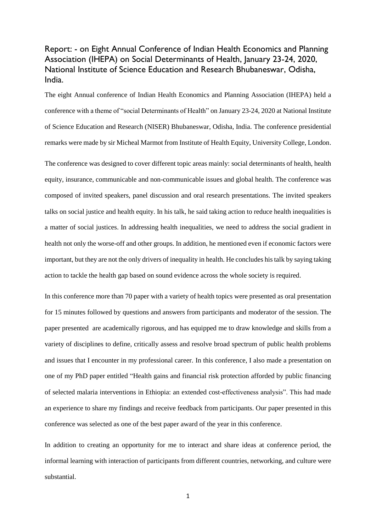## Report: - on Eight Annual Conference of Indian Health Economics and Planning Association (IHEPA) on Social Determinants of Health, January 23-24, 2020, National Institute of Science Education and Research Bhubaneswar, Odisha, India.

The eight Annual conference of Indian Health Economics and Planning Association (IHEPA) held a conference with a theme of "social Determinants of Health" on January 23-24, 2020 at National Institute of Science Education and Research (NISER) Bhubaneswar, Odisha, India. The conference presidential remarks were made by sir Micheal Marmot from Institute of Health Equity, University College, London.

The conference was designed to cover different topic areas mainly: social determinants of health, health equity, insurance, communicable and non-communicable issues and global health. The conference was composed of invited speakers, panel discussion and oral research presentations. The invited speakers talks on social justice and health equity. In his talk, he said taking action to reduce health inequalities is a matter of social justices. In addressing health inequalities, we need to address the social gradient in health not only the worse-off and other groups. In addition, he mentioned even if economic factors were important, but they are not the only drivers of inequality in health. He concludes his talk by saying taking action to tackle the health gap based on sound evidence across the whole society is required.

In this conference more than 70 paper with a variety of health topics were presented as oral presentation for 15 minutes followed by questions and answers from participants and moderator of the session. The paper presented are academically rigorous, and has equipped me to draw knowledge and skills from a variety of disciplines to define, critically assess and resolve broad spectrum of public health problems and issues that I encounter in my professional career. In this conference, I also made a presentation on one of my PhD paper entitled "Health gains and financial risk protection afforded by public financing of selected malaria interventions in Ethiopia: an extended cost-effectiveness analysis". This had made an experience to share my findings and receive feedback from participants. Our paper presented in this conference was selected as one of the best paper award of the year in this conference.

In addition to creating an opportunity for me to interact and share ideas at conference period, the informal learning with interaction of participants from different countries, networking, and culture were substantial.